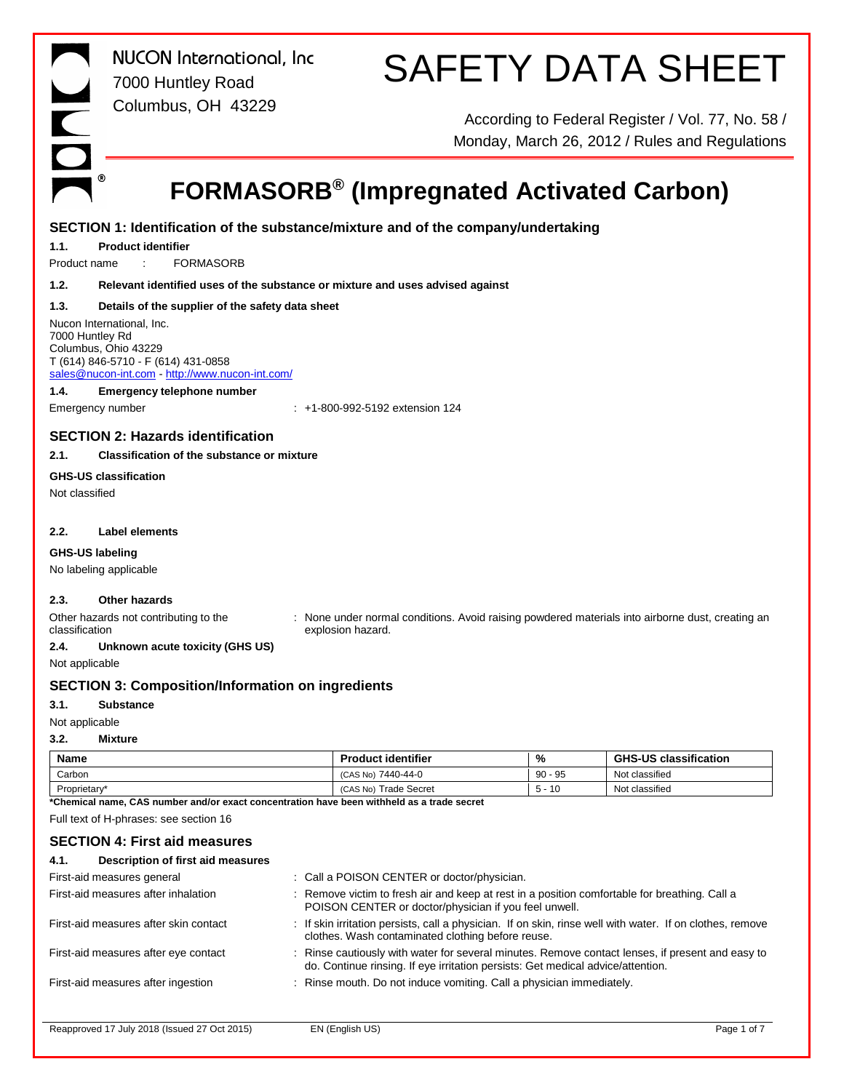# SAFETY DATA SHEET

According to Federal Register / Vol. 77, No. 58 / Monday, March 26, 2012 / Rules and Regulations

## **FORMASORB® (Impregnated Activated Carbon)**

### **SECTION 1: Identification of the substance/mixture and of the company/undertaking**

**1.1. Product identifier**

Product name : FORMASORB

**1.2. Relevant identified uses of the substance or mixture and uses advised against**

### **1.3. Details of the supplier of the safety data sheet**

Nucon International, Inc. 7000 Huntley Rd Columbus, Ohio 43229 T (614) 846-5710 - F (614) 431-0858 sales@nucon-int.com - http://www.nucon-int.com/

### **1.4. Emergency telephone number**

Emergency number : +1-800-992-5192 extension 124

### **SECTION 2: Hazards identification**

### **2.1. Classification of the substance or mixture**

### **GHS-US classification**

Not classified

### **2.2. Label elements**

### **GHS-US labeling**

No labeling applicable

### **2.3. Other hazards**

Other hazards not contributing to the classification

: None under normal conditions. Avoid raising powdered materials into airborne dust, creating an explosion hazard.

### **2.4. Unknown acute toxicity (GHS US)**

Not applicable

### **SECTION 3: Composition/Information on ingredients**

- **3.1. Substance**
- Not applicable

### **3.2. Mixture**

| Name         | <b>Product identifier</b>       | %         | <b>GHS-US classification</b> |
|--------------|---------------------------------|-----------|------------------------------|
| Carbon       | (CAS No) 7440-44-0              | $90 - 95$ | Not classified               |
| Proprietary* | <b>Trade Secret</b><br>(CAS No) | $-10$     | Not classified               |

**\*Chemical name, CAS number and/or exact concentration have been withheld as a trade secret**

Full text of H-phrases: see section 16

### **SECTION 4: First aid measures**

| Description of first aid measures<br>4.1.    |                                                                                                                                                                                   |             |
|----------------------------------------------|-----------------------------------------------------------------------------------------------------------------------------------------------------------------------------------|-------------|
| First-aid measures general                   | : Call a POISON CENTER or doctor/physician.                                                                                                                                       |             |
| First-aid measures after inhalation          | : Remove victim to fresh air and keep at rest in a position comfortable for breathing. Call a<br>POISON CENTER or doctor/physician if you feel unwell.                            |             |
| First-aid measures after skin contact        | : If skin irritation persists, call a physician. If on skin, rinse well with water. If on clothes, remove<br>clothes. Wash contaminated clothing before reuse.                    |             |
| First-aid measures after eye contact         | Rinse cautiously with water for several minutes. Remove contact lenses, if present and easy to<br>do. Continue rinsing. If eye irritation persists: Get medical advice/attention. |             |
| First-aid measures after ingestion           | : Rinse mouth. Do not induce vomiting. Call a physician immediately.                                                                                                              |             |
|                                              |                                                                                                                                                                                   |             |
| Reapproved 17 July 2018 (Issued 27 Oct 2015) | EN (English US)                                                                                                                                                                   | Page 1 of 7 |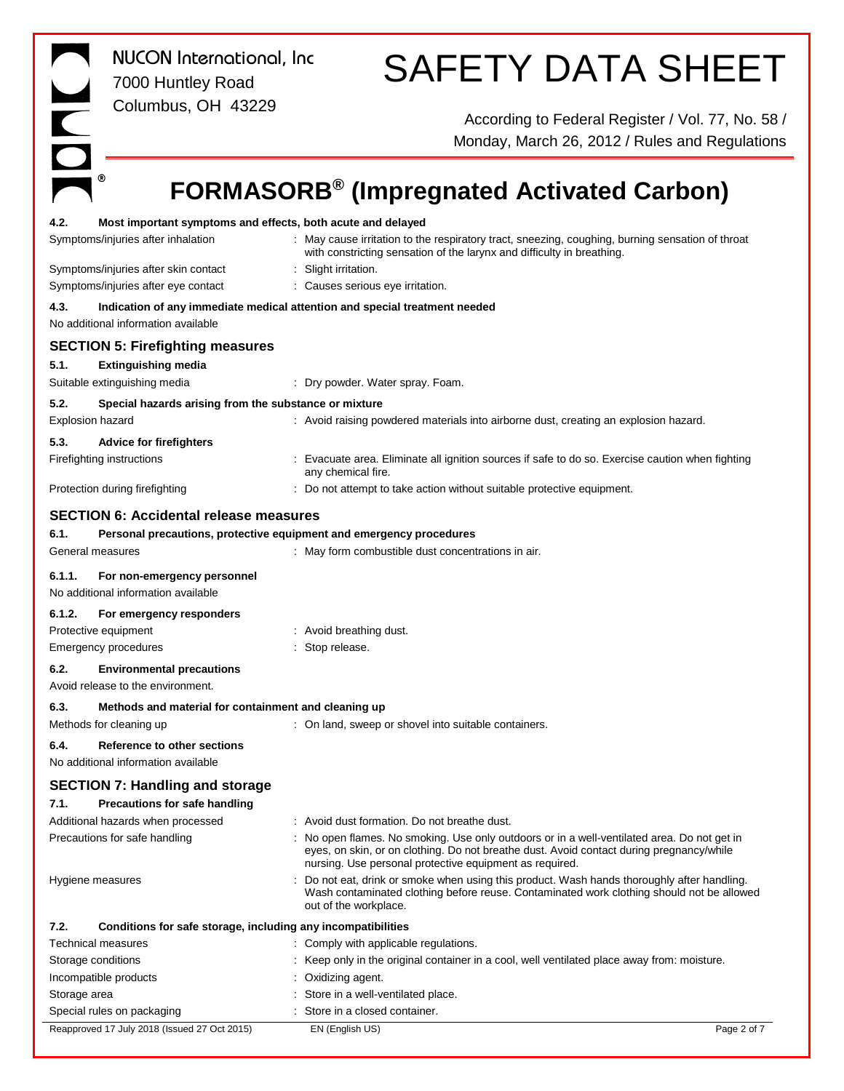| NUCON International, Inc.<br>7000 Huntley Road                                | <b>SAFETY DATA SHEET</b>                                                                                                                                                                                                                           |
|-------------------------------------------------------------------------------|----------------------------------------------------------------------------------------------------------------------------------------------------------------------------------------------------------------------------------------------------|
| HOL<br>Columbus, OH 43229                                                     | According to Federal Register / Vol. 77, No. 58 /<br>Monday, March 26, 2012 / Rules and Regulations                                                                                                                                                |
| ◉                                                                             | <b>FORMASORB<sup>®</sup> (Impregnated Activated Carbon)</b>                                                                                                                                                                                        |
| 4.2.<br>Most important symptoms and effects, both acute and delayed           |                                                                                                                                                                                                                                                    |
| Symptoms/injuries after inhalation                                            | : May cause irritation to the respiratory tract, sneezing, coughing, burning sensation of throat<br>with constricting sensation of the larynx and difficulty in breathing.                                                                         |
| Symptoms/injuries after skin contact                                          | Slight irritation.                                                                                                                                                                                                                                 |
| Symptoms/injuries after eye contact                                           | : Causes serious eye irritation.                                                                                                                                                                                                                   |
| 4.3.<br>No additional information available                                   | Indication of any immediate medical attention and special treatment needed                                                                                                                                                                         |
| <b>SECTION 5: Firefighting measures</b>                                       |                                                                                                                                                                                                                                                    |
| 5.1.<br><b>Extinguishing media</b>                                            |                                                                                                                                                                                                                                                    |
| Suitable extinguishing media                                                  | Dry powder. Water spray. Foam.                                                                                                                                                                                                                     |
| 5.2.<br>Special hazards arising from the substance or mixture                 |                                                                                                                                                                                                                                                    |
| <b>Explosion hazard</b>                                                       | : Avoid raising powdered materials into airborne dust, creating an explosion hazard.                                                                                                                                                               |
| 5.3.<br><b>Advice for firefighters</b><br>Firefighting instructions           | Evacuate area. Eliminate all ignition sources if safe to do so. Exercise caution when fighting                                                                                                                                                     |
|                                                                               | any chemical fire.                                                                                                                                                                                                                                 |
| Protection during firefighting                                                | : Do not attempt to take action without suitable protective equipment.                                                                                                                                                                             |
| <b>SECTION 6: Accidental release measures</b>                                 |                                                                                                                                                                                                                                                    |
| 6.1.                                                                          | Personal precautions, protective equipment and emergency procedures                                                                                                                                                                                |
| General measures                                                              | : May form combustible dust concentrations in air.                                                                                                                                                                                                 |
| 6.1.1.<br>For non-emergency personnel<br>No additional information available  |                                                                                                                                                                                                                                                    |
| 6.1.2.<br>For emergency responders                                            |                                                                                                                                                                                                                                                    |
| Protective equipment                                                          | : Avoid breathing dust.                                                                                                                                                                                                                            |
| <b>Emergency procedures</b>                                                   | Stop release.                                                                                                                                                                                                                                      |
| 6.2.<br><b>Environmental precautions</b><br>Avoid release to the environment. |                                                                                                                                                                                                                                                    |
| 6.3.<br>Methods and material for containment and cleaning up                  |                                                                                                                                                                                                                                                    |
| Methods for cleaning up                                                       | : On land, sweep or shovel into suitable containers.                                                                                                                                                                                               |
| 6.4.<br>Reference to other sections                                           |                                                                                                                                                                                                                                                    |
| No additional information available                                           |                                                                                                                                                                                                                                                    |
| <b>SECTION 7: Handling and storage</b>                                        |                                                                                                                                                                                                                                                    |
| 7.1.<br>Precautions for safe handling<br>Additional hazards when processed    | : Avoid dust formation. Do not breathe dust.                                                                                                                                                                                                       |
| Precautions for safe handling                                                 | : No open flames. No smoking. Use only outdoors or in a well-ventilated area. Do not get in<br>eyes, on skin, or on clothing. Do not breathe dust. Avoid contact during pregnancy/while<br>nursing. Use personal protective equipment as required. |
| Hygiene measures                                                              | Do not eat, drink or smoke when using this product. Wash hands thoroughly after handling.<br>Wash contaminated clothing before reuse. Contaminated work clothing should not be allowed<br>out of the workplace.                                    |
| 7.2.<br>Conditions for safe storage, including any incompatibilities          |                                                                                                                                                                                                                                                    |
| Technical measures                                                            | : Comply with applicable regulations.                                                                                                                                                                                                              |
| Storage conditions                                                            | Keep only in the original container in a cool, well ventilated place away from: moisture.                                                                                                                                                          |
| Incompatible products                                                         | Oxidizing agent.<br>Store in a well-ventilated place.                                                                                                                                                                                              |
| Storage area<br>Special rules on packaging                                    | Store in a closed container.                                                                                                                                                                                                                       |
| Reapproved 17 July 2018 (Issued 27 Oct 2015)                                  | EN (English US)<br>Page 2 of 7                                                                                                                                                                                                                     |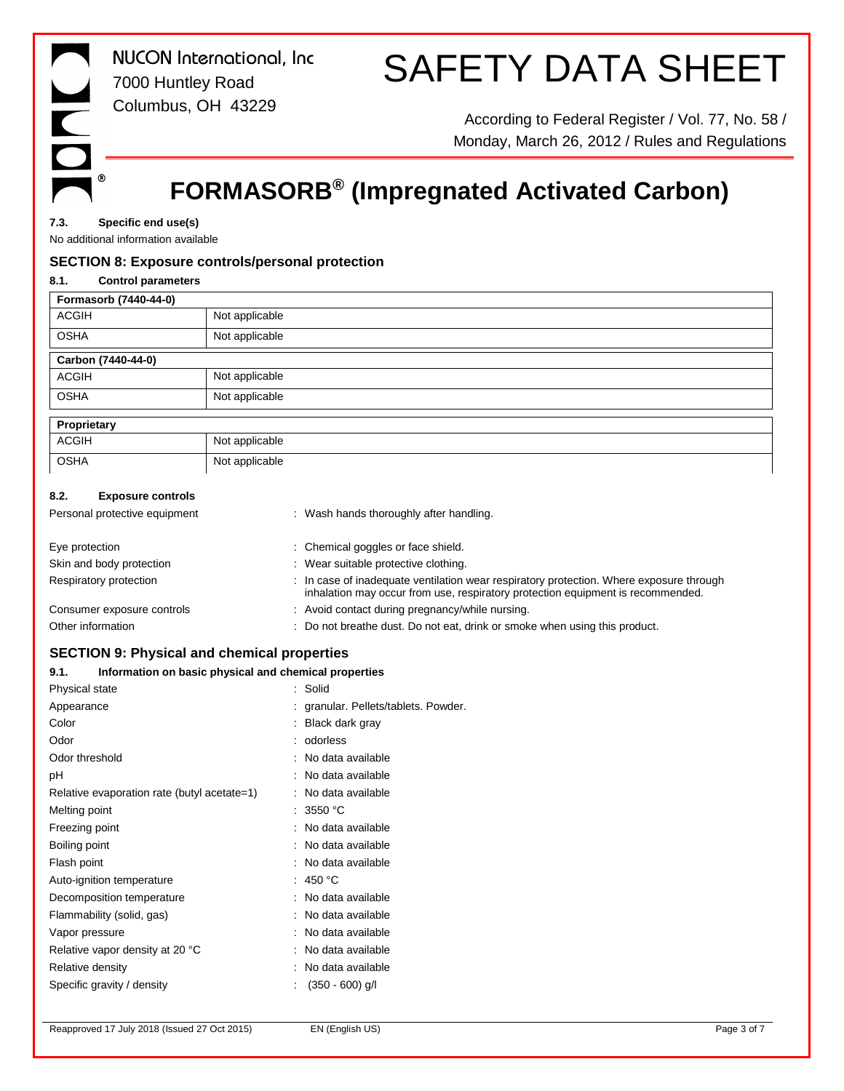## SAFETY DATA SHEET

According to Federal Register / Vol. 77, No. 58 / Monday, March 26, 2012 / Rules and Regulations

### **FORMASORB® (Impregnated Activated Carbon)**

**7.3. Specific end use(s)**

No additional information available

### **SECTION 8: Exposure controls/personal protection**

| Not applicable                                                                                                                                                             |
|----------------------------------------------------------------------------------------------------------------------------------------------------------------------------|
| Not applicable                                                                                                                                                             |
|                                                                                                                                                                            |
| Not applicable                                                                                                                                                             |
| Not applicable                                                                                                                                                             |
|                                                                                                                                                                            |
| Not applicable                                                                                                                                                             |
| Not applicable                                                                                                                                                             |
|                                                                                                                                                                            |
| : Wash hands thoroughly after handling.                                                                                                                                    |
| Chemical goggles or face shield.                                                                                                                                           |
| Wear suitable protective clothing.                                                                                                                                         |
| : In case of inadequate ventilation wear respiratory protection. Where exposure through<br>inhalation may occur from use, respiratory protection equipment is recommended. |
| Avoid contact during pregnancy/while nursing.                                                                                                                              |
| Do not breathe dust. Do not eat, drink or smoke when using this product.                                                                                                   |
|                                                                                                                                                                            |

### **SECTION 9: Physical and chemical properties**

### **9.1. Information on basic physical and chemical properties**

| Physical state                              | : Solid                              |
|---------------------------------------------|--------------------------------------|
| Appearance                                  | : granular. Pellets/tablets. Powder. |
| Color                                       | : Black dark gray                    |
| Odor                                        | : odorless                           |
| Odor threshold                              | : No data available                  |
| рH                                          | : No data available                  |
| Relative evaporation rate (butyl acetate=1) | : No data available                  |
| Melting point                               | : 3550 °C                            |
| Freezing point                              | : No data available                  |
| Boiling point                               | : No data available                  |
| Flash point                                 | : No data available                  |
| Auto-ignition temperature                   | : 450 °C                             |
| Decomposition temperature                   | : No data available                  |
| Flammability (solid, gas)                   | : No data available                  |
| Vapor pressure                              | : No data available                  |
| Relative vapor density at 20 °C             | : No data available                  |
| Relative density                            | No data available                    |
| Specific gravity / density                  | $(350 - 600)$ g/l                    |
|                                             |                                      |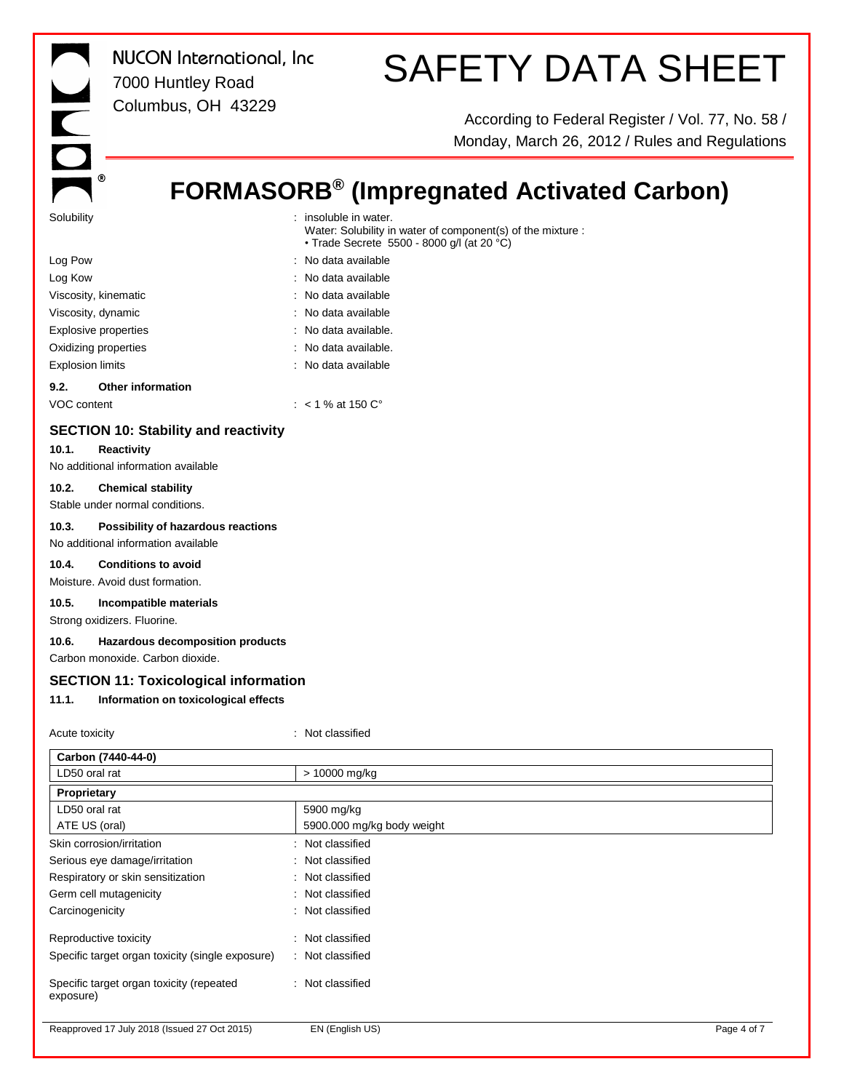|            | സ |
|------------|---|
| Solubility |   |

## SAFETY DATA SHEET

According to Federal Register / Vol. 77, No. 58 / Monday, March 26, 2012 / Rules and Regulations

### **FORMASORB® (Impregnated Activated Carbon)**

| Solubility                                                                           | : insoluble in water.<br>Water: Solubility in water of component(s) of the mixture :<br>• Trade Secrete 5500 - 8000 g/l (at 20 °C) |
|--------------------------------------------------------------------------------------|------------------------------------------------------------------------------------------------------------------------------------|
| Log Pow                                                                              | No data available                                                                                                                  |
| Log Kow                                                                              | : No data available                                                                                                                |
| Viscosity, kinematic                                                                 | : No data available                                                                                                                |
| Viscosity, dynamic                                                                   | No data available                                                                                                                  |
| <b>Explosive properties</b>                                                          | No data available.                                                                                                                 |
| Oxidizing properties                                                                 | : No data available.                                                                                                               |
| <b>Explosion limits</b>                                                              | No data available                                                                                                                  |
| 9.2.<br><b>Other information</b>                                                     |                                                                                                                                    |
| VOC content                                                                          | : $< 1$ % at 150 $C^{\circ}$                                                                                                       |
| <b>SECTION 10: Stability and reactivity</b><br>10.1.<br><b>Reactivity</b>            |                                                                                                                                    |
| No additional information available                                                  |                                                                                                                                    |
| 10.2.<br><b>Chemical stability</b><br>Stable under normal conditions.                |                                                                                                                                    |
| 10.3.<br>Possibility of hazardous reactions<br>No additional information available   |                                                                                                                                    |
| 10.4.<br><b>Conditions to avoid</b><br>Moisture. Avoid dust formation.               |                                                                                                                                    |
| 10.5.<br>Incompatible materials                                                      |                                                                                                                                    |
| Strong oxidizers. Fluorine.                                                          |                                                                                                                                    |
| 10.6.<br><b>Hazardous decomposition products</b><br>Carbon monoxide. Carbon dioxide. |                                                                                                                                    |
| <b>SECTION 11: Toxicological information</b>                                         |                                                                                                                                    |
| 11.1.<br>Information on toxicological effects                                        |                                                                                                                                    |
|                                                                                      |                                                                                                                                    |
| Acute toxicity                                                                       | : Not classified                                                                                                                   |
| Carbon (7440-44-0)                                                                   |                                                                                                                                    |
| LD50 oral rat                                                                        | > 10000 mg/kg                                                                                                                      |
| Proprietary                                                                          |                                                                                                                                    |
| LD50 oral rat                                                                        | 5900 mg/kg                                                                                                                         |
| ATE US (oral)                                                                        | 5900.000 mg/kg body weight                                                                                                         |

Reapproved 17 July 2018 (Issued 27 Oct 2015) EN (English US) English US example 2015 and the Page 4 of 7

Specific target organ toxicity (repeated

exposure)

Skin corrosion/irritation **in the set of the set of the set of the set of the set of the set of the set of the set of the set of the set of the set of the set of the set of the set of the set of the set of the set of the s** Serious eye damage/irritation : Not classified Respiratory or skin sensitization : Not classified Germ cell mutagenicity **Second Contract Contract Contract Contract Contract Contract Contract Contract Contract Contract Contract Contract Contract Contract Contract Contract Contract Contract Contract Contract Contract Co** Carcinogenicity **Carcinogenicity** : Not classified

Reproductive toxicity **in the contract of the CRS** contract in the Reproductive toxicity Specific target organ toxicity (single exposure) : Not classified

: Not classified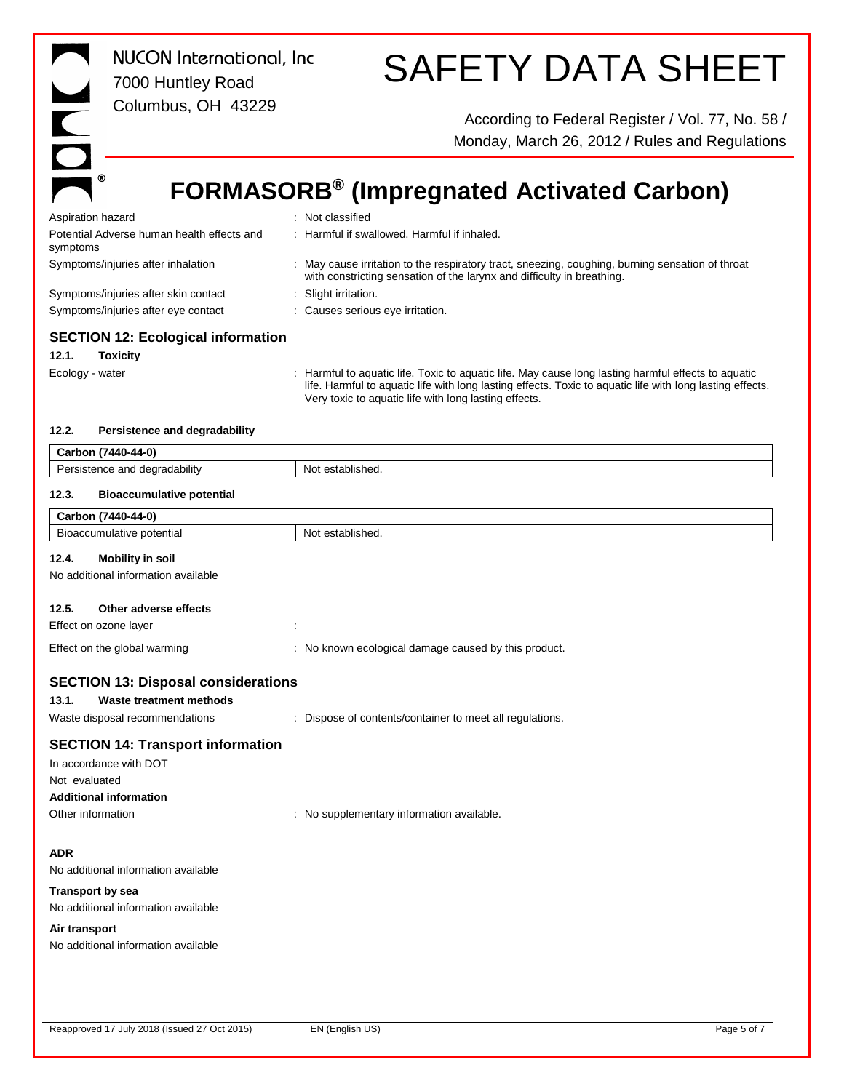| <b>NUCON</b> International, Inc.<br>7000 Huntley Road                       | <b>SAFETY DATA SHEET</b>                                                                                                                                                                                                                                                  |
|-----------------------------------------------------------------------------|---------------------------------------------------------------------------------------------------------------------------------------------------------------------------------------------------------------------------------------------------------------------------|
| Columbus, OH 43229<br>$\overline{\overline{\overline{C}}}$                  | According to Federal Register / Vol. 77, No. 58 /<br>Monday, March 26, 2012 / Rules and Regulations                                                                                                                                                                       |
| ⊛                                                                           | <b>FORMASORB<sup>®</sup></b> (Impregnated Activated Carbon)                                                                                                                                                                                                               |
| Aspiration hazard                                                           | Not classified                                                                                                                                                                                                                                                            |
| Potential Adverse human health effects and<br>symptoms                      | : Harmful if swallowed. Harmful if inhaled.                                                                                                                                                                                                                               |
| Symptoms/injuries after inhalation                                          | : May cause irritation to the respiratory tract, sneezing, coughing, burning sensation of throat<br>with constricting sensation of the larynx and difficulty in breathing.                                                                                                |
| Symptoms/injuries after skin contact<br>Symptoms/injuries after eye contact | Slight irritation.<br>Causes serious eye irritation.                                                                                                                                                                                                                      |
| <b>SECTION 12: Ecological information</b>                                   |                                                                                                                                                                                                                                                                           |
| 12.1.<br><b>Toxicity</b>                                                    |                                                                                                                                                                                                                                                                           |
| Ecology - water                                                             | : Harmful to aquatic life. Toxic to aquatic life. May cause long lasting harmful effects to aquatic<br>life. Harmful to aquatic life with long lasting effects. Toxic to aquatic life with long lasting effects.<br>Very toxic to aquatic life with long lasting effects. |
| 12.2.<br>Persistence and degradability                                      |                                                                                                                                                                                                                                                                           |
| Carbon (7440-44-0)                                                          |                                                                                                                                                                                                                                                                           |
| Persistence and degradability                                               | Not established.                                                                                                                                                                                                                                                          |
| 12.3.<br><b>Bioaccumulative potential</b>                                   |                                                                                                                                                                                                                                                                           |
| Carbon (7440-44-0)                                                          |                                                                                                                                                                                                                                                                           |
| Bioaccumulative potential                                                   | Not established.                                                                                                                                                                                                                                                          |
| 12.4.<br><b>Mobility in soil</b><br>No additional information available     |                                                                                                                                                                                                                                                                           |
| 12.5.<br>Other adverse effects<br>Effect on ozone layer                     |                                                                                                                                                                                                                                                                           |
| Effect on the global warming                                                | No known ecological damage caused by this product.                                                                                                                                                                                                                        |
|                                                                             |                                                                                                                                                                                                                                                                           |
| <b>SECTION 13: Disposal considerations</b>                                  |                                                                                                                                                                                                                                                                           |
| 13.1.<br>Waste treatment methods                                            |                                                                                                                                                                                                                                                                           |
| Waste disposal recommendations                                              | Dispose of contents/container to meet all regulations.                                                                                                                                                                                                                    |
| <b>SECTION 14: Transport information</b>                                    |                                                                                                                                                                                                                                                                           |
| In accordance with DOT                                                      |                                                                                                                                                                                                                                                                           |
| Not evaluated                                                               |                                                                                                                                                                                                                                                                           |
| <b>Additional information</b>                                               |                                                                                                                                                                                                                                                                           |
| Other information                                                           | No supplementary information available.                                                                                                                                                                                                                                   |
| <b>ADR</b>                                                                  |                                                                                                                                                                                                                                                                           |
| No additional information available                                         |                                                                                                                                                                                                                                                                           |
| <b>Transport by sea</b>                                                     |                                                                                                                                                                                                                                                                           |
| No additional information available                                         |                                                                                                                                                                                                                                                                           |
| Air transport                                                               |                                                                                                                                                                                                                                                                           |
| No additional information available                                         |                                                                                                                                                                                                                                                                           |
|                                                                             |                                                                                                                                                                                                                                                                           |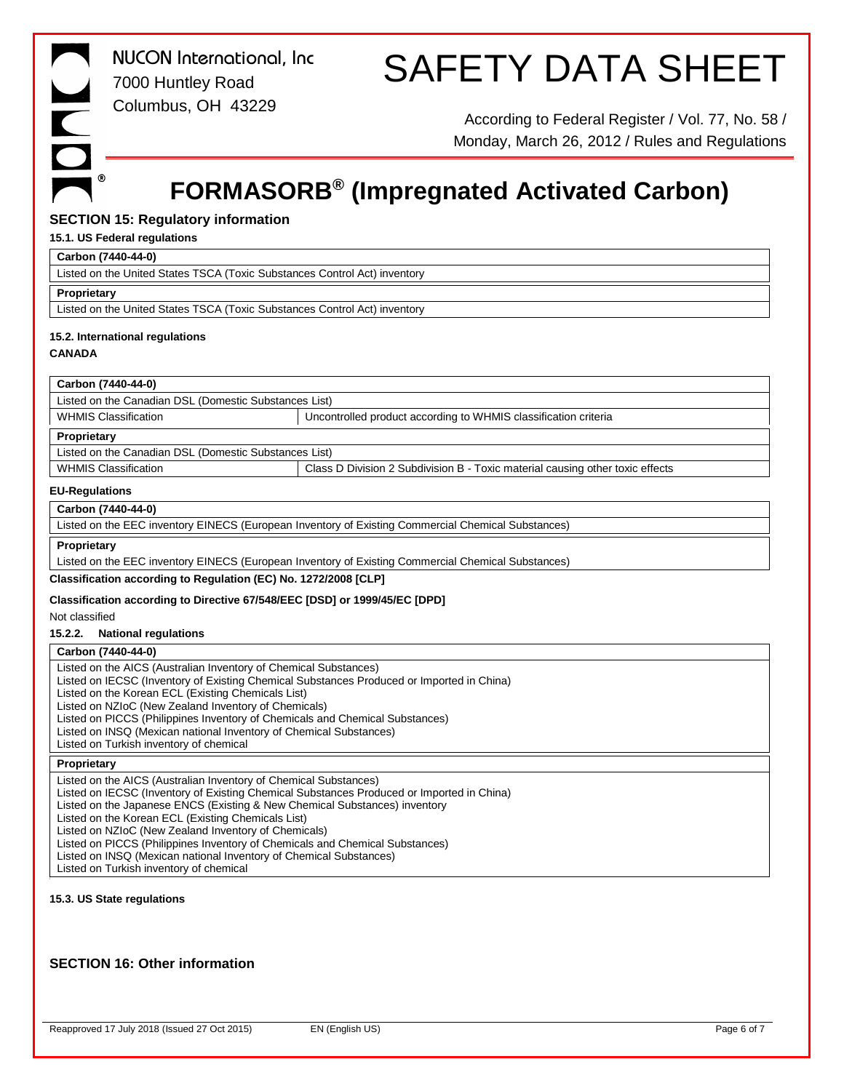## SAFETY DATA SHEET

According to Federal Register / Vol. 77, No. 58 / Monday, March 26, 2012 / Rules and Regulations

### **FORMASORB® (Impregnated Activated Carbon)**

### **SECTION 15: Regulatory information**

#### **15.1. US Federal regulations**

#### **Carbon (7440-44-0)**

Listed on the United States TSCA (Toxic Substances Control Act) inventory

#### **Proprietary**

Listed on the United States TSCA (Toxic Substances Control Act) inventory

### **15.2. International regulations**

### **CANADA**

### **Carbon (7440-44-0)**

Listed on the Canadian DSL (Domestic Substances List)

WHMIS Classification **VERGON CONTROLLED 1999** Uncontrolled product according to WHMIS classification criteria

#### **Proprietary**

Listed on the Canadian DSL (Domestic Substances List)

WHMIS Classification **Class D Division 2 Subdivision B** - Toxic material causing other toxic effects

### **EU-Regulations**

### **Carbon (7440-44-0)**

Listed on the EEC inventory EINECS (European Inventory of Existing Commercial Chemical Substances)

### **Proprietary**

Listed on the EEC inventory EINECS (European Inventory of Existing Commercial Chemical Substances)

### **Classification according to Regulation (EC) No. 1272/2008 [CLP]**

### **Classification according to Directive 67/548/EEC [DSD] or 1999/45/EC [DPD]**

Not classified

**15.2.2. National regulations**

### **Carbon (7440-44-0)**

Listed on the AICS (Australian Inventory of Chemical Substances)

Listed on IECSC (Inventory of Existing Chemical Substances Produced or Imported in China)

Listed on the Korean ECL (Existing Chemicals List)

Listed on NZIoC (New Zealand Inventory of Chemicals)

- Listed on PICCS (Philippines Inventory of Chemicals and Chemical Substances)
- Listed on INSQ (Mexican national Inventory of Chemical Substances)

Listed on Turkish inventory of chemical

### **Proprietary**

Listed on the AICS (Australian Inventory of Chemical Substances) Listed on IECSC (Inventory of Existing Chemical Substances Produced or Imported in China) Listed on the Japanese ENCS (Existing & New Chemical Substances) inventory Listed on the Korean ECL (Existing Chemicals List) Listed on NZIoC (New Zealand Inventory of Chemicals) Listed on PICCS (Philippines Inventory of Chemicals and Chemical Substances) Listed on INSQ (Mexican national Inventory of Chemical Substances) Listed on Turkish inventory of chemical

### **15.3. US State regulations**

### **SECTION 16: Other information**

Reapproved 17 July 2018 (Issued 27 Oct 2015) EN (English US) Page 6 of 7